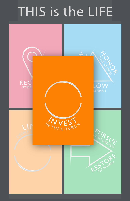# THIS is the LIFE

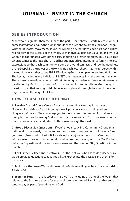### **JOURNAL - INVEST IN THE CHURCH**

*JUNE 5 - JULY 3, 2022*

#### **SERIES INTRODUCTION**

"The whole is greater than the sum of the parts." That phrase is certainly true when it comes to vegetable soup, the human shoulder, the symphony, or the Cincinnati Bengals. Whether it's taste, movement, sound, or winning a Super Bowl each part has a critical role to play in the success of the whole. Each individual part has value on its own, but when it is coordinated with other parts, something greater emerges. This is also true when it comes to the local church. God has subdivided His international family into local expressions so that each community around the world can taste and see the goodness of the Gospel. By the power of the Holy Spirit, each local church has the resources within it to equip one another to live THE LIFE—loving God, loving people, and multiplication! The key is, having every individual INVEST their resources into the common mission. These resources—time, energy, skillset, training, experience, finance...etc.—are all distributed by God so that each of us has something to contribute. God delights to invest in us, so that we might delight in investing in and through the church. Let's learn together what this might look like!

#### **HOW TO USE YOUR JOURNAL**

**1. Receive Gospel Grace Verse** – Because it's so critical to our spiritual lives to "Receive Gospel Grace," each Monday we will provide a verse to help you keep His grace before you. We encourage you to spend a few minutes reading it slowly, multiple times, and allowing God to speak His grace over you. You may want to write it out on an index card and return to this verse through the week.

**2. Group Discussion Questions** – If you're not already in a Community Group that is discussing the weekly themes and sermons, we encourage you to join one or form your own. (Reach out to Pastor Bill for ideas, bcraig@hopemason.org.) Questions with an asterisk are recommended discussion questions, along with the "For Further Reflection" questions at the end of each week and the opening "Big Questions About the Church."

**3."For Further Reflection" Questions** – For those of you who like to do a deeper dive, we've provided questions to take you a little further into the passage and theme for the week.

**4. Scripture Memory** – We continue to "hide God's Word in your heart" by memorizing 1 Peter 4:10.

**5. Worship Song** - In the Tuesday e-mail, we'll be including a "Song of the Week" that relates to the Scripture theme for the week. We recommend listening to that song on Wednesday as part of your time with God.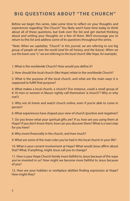### **BIG QUESTIONS ABOUT "THE CHURCH"**

Before we begin this series, take some time to reflect on your thoughts and experiences regarding "the Church." You likely won't have time today to think about all of these questions, but look over the list and get started thinking about and writing your thoughts on a few of them. We'll encourage you to return to this list and address some of its questions throughout the series.

*\*Note: When we capitalize, "Church" in this journal, we are referring to one big group of people all over the world (and for all history, and the future). When we use the lower case "c," we are referring to the local church (like Hope, for example).* 

1. What is the worldwide Church? How would you define it?

2. How should the local church (like Hope) relate to the worldwide Church?

3. What is the purpose of the local church, and what are the main ways it is supposed to fulfill that purpose?

4. What makes a local church, a church? (For instance, could a small group of 6-10 men or women in Mason rightly call themselves "a church"? Why or why not?)

5. Why not sit home and watch church online, even if you're able to come in person?

6. What experiences have shaped your view of church (positive and negative)?

7. Do you know what your spiritual gifts are? If so, how are you using them at Hope? If you don't know them, how can you discover them? What is a next step for you here?

8. Why invest financially in the church, and how much?

9. What are some of the main roles you've had in the local church in your life?

10. What is your current involvement at Hope? What would Jesus affirm about that? What, if anything, might Jesus call you to change?

11. How is your Hope Church family more faithful to Jesus because of the ways you've invested in us? How might we become more faithful to Jesus because of you?

12. How are your hobbies or workplace abilities finding expression at Hope? How might they?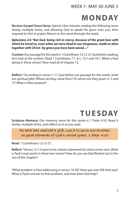#### WEEK 1: MAY 30-JUNE 3

# **MONDAY**

**Receive Gospel Grace Verse:** Spend a few minutes reading the following verse slowly, multiple times, and allowing God to speak His grace over you, then respond to Him in prayer. Return to this verse through the week.

*Ephesians 2:4 "But God, being rich in mercy, because of the great love with which he loved us, even when we were dead in our trespasses, made us alive together with Christ--by grace you have been saved…"*

**Context:** Our passage for this week is 1 Corinthians 12:12-27, but before reading, let's look at the context. Read 1 Corinthians 7:1, 8:1, 12:1 and 16:1. What is Paul doing in these verses? Now read all of chapter 12.

**Reflect:** \*According to verses 1-11 (just before our passage for this week), what are spiritual gifts? Where do they come from? To whom are they given (v. 3 and 7)? What is their purpose?

# **TUESDAY**

**Scripture Memory:** Our memory verse for this series is 1 Peter 4:10. Read it slowly, multiple times, and reflect on it as you read.

**As each has received a gift, use it to serve one another, as good stewards of God's varied grace. 1 Peter 4:10**

**Read:** 1 Corinthians 12:12-27.

**Reflect:** \*Verses 12-13 seem to be a thesis statement for what comes next. What is Paul's main point in these two verses? How do you see that fleshed out in the rest of the chapter?

\*What problem is Paul addressing in verses 14-20? Have you ever felt that way? What is Paul's answer to that problem, and how does that help?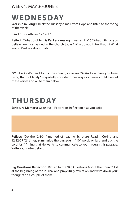#### WEEK 1: MAY 30-JUNE 3

# **WEDNESDAY**

**Worship in Song:** Check the Tuesday e-mail from Hope and listen to the "Song of the Week."

**Read:** 1 Corinthians 12:12-27.

**Reflect:** \*What problem is Paul addressing in verses 21-26? What gifts do you believe are most valued in the church today? Why do you think that is? What would Paul say about that?

\*What is God's heart for us, the church, in verses 24-26? How have you been living that out lately? Prayerfully consider other ways someone could live out these verses and write them below.

# **THURSDAY**

**Scripture Memory:** Write out 1 Peter 4:10. Reflect on it as you write.

**Reflect:** \*Do the "2-10-1" method of reading Scripture. Read 1 Corinthians 12:12-27 "2" times, summarize the passage in "10" words or less, and ask the Lord for "1" thing that He wants to communicate to you through this passage. Write your notes below.

**Big Questions Reflection:** Return to the "Big Questions About the Church" list at the beginning of the journal and prayerfully reflect on and write down your thoughts on a couple of them.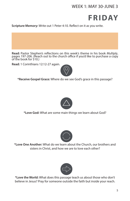#### WEEK 1: MAY 30-JUNE 3



**Scripture Memory:** Write out 1 Peter 4:10. Reflect on it as you write.

**Read:** Pastor Stephen's reflections on this week's theme in his book *Multiply*, pages 197-206. (Reach out to the church office if you'd like to purchase a copy of the book for \$10.)

**Read:** 1 Corinthians 12:12-27 again.



**\*Receive Gospel Grace:** Where do we see God's grace in this passage?



**\*Love God:** What are some main things we learn about God?



**\*Love One Another:** What do we learn about the Church, our brothers and sisters in Christ, and how we are to love each other?



**\*Love the World:** What does this passage teach us about those who don't believe in Jesus? Pray for someone outside the faith but inside your reach.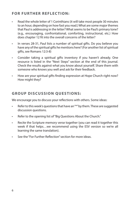#### **FOR FURTHER REFLECTION:**

- Read the whole letter of 1 Corinthians (it will take most people 30 minutes to an hour, depending on how fast you read.) What are some major themes that Paul is addressing in the letter? What seems to be Paul's primary tone? (e.g., encouraging, confrontational, comforting, instructional, etc.) How does chapter 12 fit into the overall concerns of the letter?
- In verses 28-31, Paul lists a number of spiritual gifts. Do you believe you have any of the spiritual gifts he mentions here? (For another list of spiritual gifts, see Romans 12:3-8)
- Consider taking a spiritual gifts inventory if you haven't already. One resource is listed in the "Next Steps" section at the end of this journal. Check the results against what you know about yourself. Share them with someone who knows you well and ask for their feedback.
- How are your spiritual gifts finding expression at Hope Church right now? How might they?

#### **GROUP DISCUSSION QUESTIONS:**

We encourage you to discuss your reflections with others. Some ideas:

- Refer to this week's questions that have an "\*" by them. These are suggested discussion questions.
- Refer to the opening list of "Big Questions About the Church."
- Recite the Scripture memory verse together (you can read it together this week if that helps…we recommend using the ESV version so we're all learning the same translation).
- See the "For Further Reflection" section for more ideas.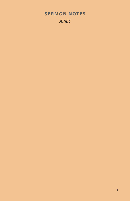### **SERMON NOTES**

*JUNE 5*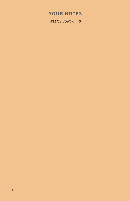#### **YOUR NOTES**

*WEEK 2: JUNE 6 - 10*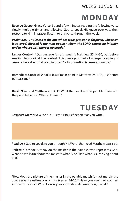#### WEEK 2: JUNE 6-10

# **MONDAY**

**Receive Gospel Grace Verse:** Spend a few minutes reading the following verse slowly, multiple times, and allowing God to speak His grace over you, then respond to Him in prayer. Return to this verse through the week.

*Psalm 32:1-2 "Blessed is the one whose transgression is forgiven, whose sin is covered. Blessed is the man against whom the LORD counts no iniquity, and in whose spirit there is no deceit."*

**Larger Context:** \*Our passage for this week is Matthew 25:14-30, but before reading, let's look at the context. This passage is part of a larger teaching of Jesus. Where does that teaching start? What question is Jesus answering?

**Immediate Context:** What is Jesus' main point in Matthew 25:1-13, just before our passage?

**Read:** Now read Matthew 25:14-30. What themes does this parable share with the parable before? What's different?



**Scripture Memory:** Write out 1 Peter 4:10. Reflect on it as you write.

**Read:** Ask God to speak to you through His Word, then read Matthew 25:14-30.

**Reflect:** \*Let's focus today on the master in the parable, who represents God. What do we learn about the master? What is he like? What is surprising about that?

\*How does the picture of the master in the parable match (or not match) the third servant's estimation of him (verses 24-25)? Have you ever had such an estimation of God? Why? How is your estimation different now, if at all?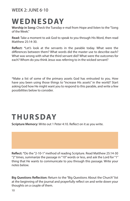#### WEEK  $2 \cdot 11$  NF 6-10

# **WEDNESDAY**

**Worship in Song:** Check the Tuesday e-mail from Hope and listen to the "Song of the Week."

**Read:** Take a moment to ask God to speak to you through His Word, then read Matthew 25:14-30.

**Reflect:** \*Let's look at the servants in the parable today. What were the differences between them? What words did the master use to describe each? What was wrong with what the third servant did? What were the outcomes for each? Whom do you think Jesus was referring to in the wicked servant?

\*Make a list of some of the primary assets God has entrusted to you. How have you been using those things to "increase His assets" in the world? Start asking God how He might want you to respond to this parable, and write a few possibilities below to consider.

# **THURSDAY**

**Scripture Memory:** Write out 1 Peter 4:10. Reflect on it as you write.

**Reflect:** \*Do the "2-10-1" method of reading Scripture. Read Matthew 25:14-30 "2" times, summarize the passage in "10" words or less, and ask the Lord for "1" thing that He wants to communicate to you through this passage. Write your notes below.

**Big Questions Reflection:** Return to the "Big Questions About the Church" list at the beginning of the journal and prayerfully reflect on and write down your thoughts on a couple of them.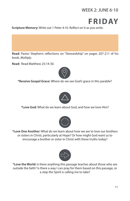### WEEK 2: JUNE 6-10



**Scripture Memory:** Write out 1 Peter 4:10. Reflect on it as you write.

**Read:** Pastor Stephen's reflections on "Stewardship" on pages 207-211 of his book, *Multiply*.

**Read:** Read Matthew 25:14-30.



**\*Receive Gospel Grace:** Where do we see God's grace in this parable?



**\*Love God:** What do we learn about God, and how we love Him?



**\*Love One Another:** What do we learn about how we are to love our brothers or sisters in Christ, particularly at Hope? Or how might God want us to encourage a brother or sister in Christ with these truths today?



**\*Love the World:** Is there anything this passage teaches about those who are outside the faith? Is there a way I can pray for them based on this passage, or a step the Spirit is calling me to take?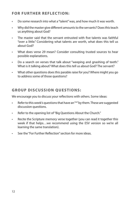#### **FOR FURTHER REFLECTION:**

- Do some research into what a "talent" was, and how much it was worth.
- Why did the master give different amounts to the servants? Does this teach us anything about God?
- The master said that the servant entrusted with five talents was faithful "over a little." Considering what talents are worth, what does this tell us about God?
- What does verse 29 mean? Consider consulting trusted sources to hear possible explanations.
- Do a search on verses that talk about "weeping and gnashing of teeth." What is it talking about? What does this tell us about God? The servant?
- What other questions does this parable raise for you? Where might you go to address some of those questions?

#### **GROUP DISCUSSION QUESTIONS:**

We encourage you to discuss your reflections with others. Some ideas:

- Refer to this week's questions that have an "\*" by them. These are suggested discussion questions.
- Refer to the opening list of "Big Questions About the Church."
- Recite the Scripture memory verse together (you can read it together this week if that helps…we recommend using the ESV version so we're all learning the same translation).
- See the "For Further Reflection" section for more ideas.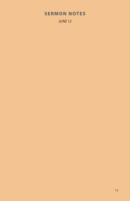### **SERMON NOTES**

*JUNE 12*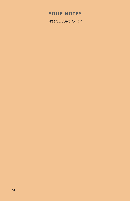#### **YOUR NOTES**

*WEEK 3: JUNE 13 - 17*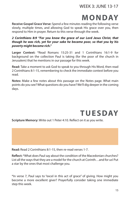#### WEEK 3: JUNE 13-17

# **MONDAY**

**Receive Gospel Grace Verse:** Spend a few minutes reading the following verse slowly, multiple times, and allowing God to speak His grace over you, then respond to Him in prayer. Return to this verse through the week.

#### *2 Corinthians 8:9 "For you know the grace of our Lord Jesus Christ, that though he was rich, yet for your sake he became poor, so that you by his poverty might become rich."*

**Larger Context:** \*Read Romans 15:25-31 and 1 Corinthians 16:1-9 for background on the collection Paul is taking (for the poor of the church in Jerusalem) that he mentions in our passage for this week.

**Read:** Take a moment to ask God to speak to you through His Word, then read 2 Corinthians 8:1-15, remembering to check the immediate context before you read.

**Notes:** Make a few notes about this passage on the Notes page. What main points do you see? What questions do you have? We'll dig deeper in the coming days.

# **TUESDAY**

**Scripture Memory:** Write out 1 Peter 4:10. Reflect on it as you write.

**Read:** Read 2 Corinthians 8:1-15, then re-read verses 1-7.

**Reflect:** \*What does Paul say about the condition of the Macedonian churches? List all the ways that they are a model for the church at Corinth…and for us! Put a star by the ones that most challenge you.

\*In verse 7, Paul says to "excel in this act of grace" of giving. How might you become a more excellent giver? Prayerfully consider taking one immediate step this week.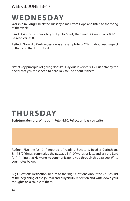#### WEEK 3: JUNE 13-17

# **WEDNESDAY**

**Worship in Song:** Check the Tuesday e-mail from Hope and listen to the "Song of the Week."

**Read:** Ask God to speak to you by His Spirit, then read 2 Corinthians 8:1-15. Re-read verses 8-15.

**Reflect:** \*How did Paul say Jesus was an example to us? Think about each aspect of that, and thank Him for it.

\*What key principles of giving does Paul lay out in verses 8-15. Put a star by the one(s) that you most need to hear. Talk to God about it (them).

# **THURSDAY**

**Scripture Memory:** Write out 1 Peter 4:10. Reflect on it as you write.

**Reflect:** \*Do the "2-10-1" method of reading Scripture. Read 2 Corinthians 8:1-15 "2" times, summarize the passage in "10" words or less, and ask the Lord for "1" thing that He wants to communicate to you through this passage. Write your notes below.

**Big Questions Reflection:** Return to the "Big Questions About the Church" list at the beginning of the journal and prayerfully reflect on and write down your thoughts on a couple of them.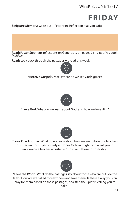### WEEK 3: JUNE 13-17

# **FRIDAY**

**Scripture Memory:** Write out 1 Peter 4:10. Reflect on it as you write.

**Read:** Pastor Stephen's reflections on Generosity on pages 211-215 of his book, *Multiply*.

**Read:** Look back through the passages we read this week.



**\*Receive Gospel Grace:** Where do we see God's grace?



**\*Love God:** What do we learn about God, and how we love Him?



**\*Love One Another:** What do we learn about how we are to love our brothers or sisters in Christ, particularly at Hope? Or how might God want you to encourage a brother or sister in Christ with these truths today?



**\*Love the World:** What do the passages say about those who are outside the faith? How are we called to view them and love them? Is there a way you can pray for them based on these passages, or a step the Spirit is calling you to take?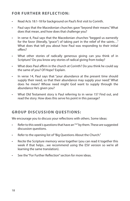#### **FOR FURTHER REFLECTION:**

- Read Acts 18:1-18 for background on Paul's first visit to Corinth.
- Paul says that the Macedonian churches gave "beyond their means." What does that mean, and how does that challenge you?
- In verse 4, Paul says that the Macedonian churches "begged us earnestly for the favor (literally, "grace") of taking part in the relief of the saints..." What does that tell you about how Paul was responding to their initial offers?
- What other stories of radically generous giving can you think of in Scripture? Do you know any stories of radical giving from today?
- What does Paul affirm in the church at Corinth? Do you think he could say the same of you? Of Hope? Explain.
- In verse 14, Paul says that "your abundance at the present time should supply their need, so that their abundance may supply your need." What does he mean? Whose need might God want to supply through the abundance He's given you?
- What Old Testament story is Paul referring to in verse 15? Find out, and read the story. How does this serve his point in this passage?

#### **GROUP DISCUSSION QUESTIONS:**

We encourage you to discuss your reflections with others. Some ideas:

- Refer to this week's questions that have an "\*" by them. These are suggested discussion questions.
- Refer to the opening list of "Big Questions About the Church."
- Recite the Scripture memory verse together (you can read it together this week if that helps…we recommend using the ESV version so we're all learning the same translation).
- See the "For Further Reflection" section for more ideas.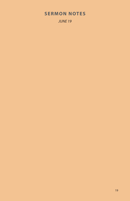### **SERMON NOTES**

*JUNE 19*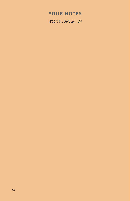#### **YOUR NOTES**

*WEEK 4: JUNE 20 - 24*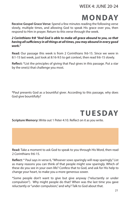WEEK 4: JUNE 20-24

### **MONDAY**

**Receive Gospel Grace Verse:** Spend a few minutes reading the following verse slowly, multiple times, and allowing God to speak His grace over you, then respond to Him in prayer. Return to this verse through the week.

#### *2 Corinthians 9:8 "And God is able to make all grace abound to you, so that having all sufficiency in all things at all times, you may abound in every good work."*

**Read:** Our passage this week is from 2 Corinthians 9:6-15. Since we were in 8:1-15 last week, just look at 8:16-9:5 to get context, then read 9:6-15 slowly.

**Reflect:** \*List the principles of giving that Paul gives in this passage. Put a star by the one(s) that challenge you most.

**\***Paul presents God as a bountiful giver. According to this passage, why does God give bountifully?

# **TUESDAY**

**Scripture Memory:** Write out 1 Peter 4:10. Reflect on it as you write.

**Read:** Take a moment to ask God to speak to you through His Word, then read 2 Corinthians 9:6-15.

**Reflect:** \* Paul says in verse 6, "Whoever sows sparingly will reap sparingly." List as many reasons you can think of that people might sow sparingly. Which of these do you see in your own life? Confess that to God, and ask for His help to change your heart, to make you a more generous sower.

\*Some people don't want to give but give anyway ("reluctantly or under compulsion"). Why might people do that? When was the last time you gave reluctantly or "under compulsion," and why? Talk to God about that.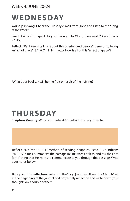#### WEEK 4: JUNE 20-24

# **WEDNESDAY**

**Worship in Song:** Check the Tuesday e-mail from Hope and listen to the "Song of the Week."

**Read:** Ask God to speak to you through His Word, then read 2 Corinthians 9:6-15.

**Reflect:** \*Paul keeps talking about this offering and people's generosity being an "act of grace" (8:1, 6, 7, 19, 9:14, etc.). How is all of this "an act of grace"?

\*What does Paul say will be the fruit or result of their giving?

# **THURSDAY**

**Scripture Memory:** Write out 1 Peter 4:10. Reflect on it as you write.

**Reflect:** \*Do the "2-10-1" method of reading Scripture. Read 2 Corinthians 9:6-15 "2" times, summarize the passage in "10" words or less, and ask the Lord for "1" thing that He wants to communicate to you through this passage. Write your notes below.

**Big Questions Reflection:** Return to the "Big Questions About the Church" list at the beginning of the journal and prayerfully reflect on and write down your thoughts on a couple of them.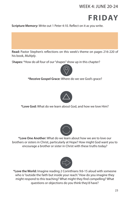#### WEEK 4: JUNE 20-24



**Scripture Memory:** Write out 1 Peter 4:10. Reflect on it as you write.

**Read:** Pastor Stephen's reflections on this week's theme on pages 216-220 of his book, *Multiply*.

S**hapes:** \*How do all four of our "shapes" show up in this chapter?



**\*Receive Gospel Grace:** Where do we see God's grace?



**\*Love God:** What do we learn about God, and how we love Him?



**\*Love One Another:** What do we learn about how we are to love our brothers or sisters in Christ, particularly at Hope? How might God want you to encourage a brother or sister in Christ with these truths today?



**\*Love the World:** Imagine reading 2 Corinthians 9:6-15 aloud with someone who is "outside the faith but inside your reach." How do you imagine they might respond to this teaching? What might they find compelling? What questions or objections do you think they'd have?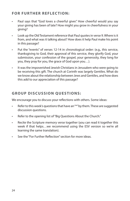#### **FOR FURTHER REFLECTION:**

- Paul says that "God loves a cheerful giver." How cheerful would you say your giving has been of late? How might you grow in cheerfulness in your giving?
- Look up the Old Testament reference that Paul quotes in verse 9. Where is it from, and what was it talking about? How does it help Paul make his point in this passage?
- Put the "events" of verses 12-14 in chronological order: (e.g., this service, thanksgiving to God, their approval of this service, they glorify God, your submission, your confession of the gospel, your generosity, they long for you, they pray for you, the grace of God upon you…).
- It was the impoverished Jewish Christians in Jerusalem who were going to be receiving this gift. The church at Corinth was largely Gentiles. What do we know about the relationship between Jews and Gentiles, and how does this add to our appreciation of this passage?

#### **GROUP DISCUSSION QUESTIONS:**

We encourage you to discuss your reflections with others. Some ideas:

- Refer to this week's questions that have an "\*" by them. These are suggested discussion questions.
- Refer to the opening list of "Big Questions About the Church."
- Recite the Scripture memory verse together (you can read it together this week if that helps…we recommend using the ESV version so we're all learning the same translation).
- See the "For Further Reflection" section for more ideas.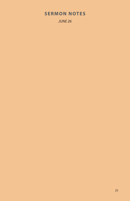### **SERMON NOTES**

*JUNE 26*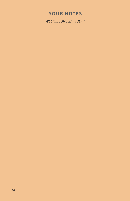### **YOUR NOTES**

*WEEK 5: JUNE 27 - JULY 1*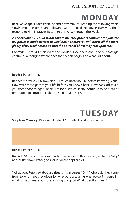### WEEK 5: JUNE 27-JULY 1

# **MONDAY**

**Receive Gospel Grace Verse:** Spend a few minutes reading the following verse slowly, multiple times, and allowing God to speak His grace over you, then respond to Him in prayer. Return to this verse through the week.

*2 Corinthians 12:9 "But (God) said to me, 'My grace is sufficient for you, for my power is made perfect in weakness.' Therefore I will boast all the more gladly of my weaknesses, so that the power of Christ may rest upon me."*

**Context:** 1 Peter 4:1 starts with the words, "Since, therefore…", so our passage continues a thought. Where does the section begin, and what is it about?

**Read:** 1 Peter 4:1-11.

**Reflect:** \*In verses 1-6, how does Peter characterize life before knowing Jesus? How were these part of your life before you knew Christ? How has God saved you from those things? Thank Him for it! Which, if any, continue to be areas of temptation or struggle? Is there a step to take here?

# **TUESDAY**

**Scripture Memory:** Write out 1 Peter 4:10. Reflect on it as you write.

**Read:** 1 Peter 4:1-11.

**Reflect:** \*Write out the commands in verses 7-11. Beside each, write the "why" and/or the "how" Peter gives for it (where applicable).

\*What does Peter say about spiritual gifts in verses 10-11? Where do they come from, to whom are they given, for what purpose, using what power? In verse 11, what is the ultimate purpose of using our gifts? What does that mean?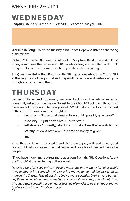#### WEEK 5: JUNE 27-JULY 1

# **WEDNESDAY**

**Scripture Memory:** Write out 1 Peter 4:10. Reflect on it as you write.

**Worship in Song:** Check the Tuesday e-mail from Hope and listen to the "Song of the Week."

**Reflect:** \*Do the "2-10-1" method of reading Scripture. Read 1 Peter 4:1-11 "2" times, summarize the passage in "10" words or less, and ask the Lord for "1" thing that He wants to communicate to you through this passage.

**Big Questions Reflection:** Return to the "Big Questions About the Church" list at the beginning of the journal and prayerfully reflect on and write down your thoughts on a couple of them.

# **THURSDAY**

**Barriers:** \*Today and tomorrow, we look back over the whole series to prayerfully reflect on the theme, "Invest in the Church." Look back through all five weeks of the journal. Then ask yourself, "What makes it hard for me to invest in the church?" Some examples might be:

- **• Weariness** "I'm so tired already! How could I possibly give more?"
- **• Insecurity** "I just don't have much to offer!"
- **• Selfishness** "Honestly, I don't want to. I don't see the benefits to me."
- **• Scarcity "**I don't have any more time or money to give!"
- **• Other –**

Share that barrier with a trusted friend. Ask them to pray with and for you, that God would help you overcome that barrier and live a life of deeper love for His people.

\*If you have more time, address more questions from the "Big Questions About the Church" at the beginning of the journal.

*Note: You can't just keep giving more and more time and money. Most of us would have to stop doing something else or using money for something else to invest more in the Church. Pray about that. Look at your calendar. Look at your budget. Lay them down before the Lord, and pray, "Lord, I belong to You, and all that I have is Yours. Is there anything you want me to let go of in order to free up time or money to give to Your Church?" He'll lead you!* 28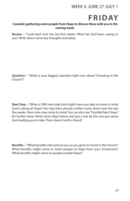#### WEEK 5: JUNE 27-JULY 1



#### *Consider gathering some people from Hope to discuss these with you in the coming week.*

**Review –** \*Look back over the last five weeks. What has God been saying to you? Write down some key thoughts and ideas.

**Question –** \*What is your biggest question right now about "Investing in the Church"?

**Next Step –** \*What is ONE next step God might have you take to invest in what God is doing at Hope? You may have already written some down over the last five weeks. New ones may come to mind. You can also see "Possible Next Steps" for further ideas. Write some ideas below and put a star by the one you sense God leading you to take. Then share it with a friend!

**Benefits –** \*What benefits will come to you as you grow to invest in the Church? What benefits might come to God's people at Hope from your investment? What benefits might come to people outside Hope?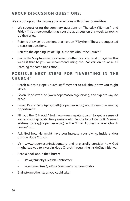#### **GROUP DISCUSSION QUESTIONS:**

We encourage you to discuss your reflections with others. Some ideas:

- We suggest using the summary questions on Thursday ("Barriers") and Friday (first three questions) as your group discussion this week, wrapping up the series.
- Refer to this week's questions that have an "\*" by them. These are suggested discussion questions.
- Refer to the opening list of "Big Questions About the Church."
- Recite the Scripture memory verse together (you can read it together this week if that helps…we recommend using the ESV version so we're all learning the same translation).

#### **POSSIBLE NEXT STEPS FOR "INVESTING IN THE CHURCH"**

- Reach out to a Hope Church staff member to ask about how you might serve.
- Go on Hope's website (www.hopemason.org/serving) and explore ways to serve.
- E-mail Pastor Gary (gangstadt@hopemason.org) about one-time serving opportunities.
- Fill out the "S.H.A.P.E." test (www.freeshapetest.com) to get a sense of some of your gifts, abilities, passions, etc. Be sure to put Pastor Bill's e-mail address (bcraig@hopemason.org) in the "Email Address of Your Church Leader" box.
- Ask God how He might have you increase your giving, inside and/or outside Hope Church.
- Visit www.hopemasoninsideout.org and prayerfully consider how God might lead you to invest in Hope Church through the InsideOut initiative.
- Read a book about the Church:
	- *• Life Together* by Dietrich Bonhoeffer
	- *• Becoming a True Spiritual Community* by Larry Crabb
- Brainstorm other steps you could take: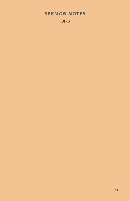### **SERMON NOTES**

*JULY 3*